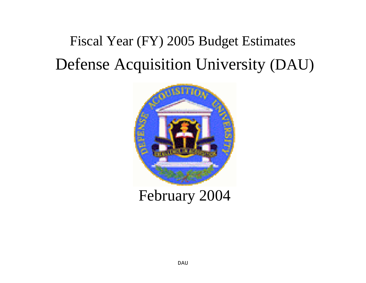# Fiscal Year (FY) 2005 Budget Estimates Defense Acquisition University (DAU)



February 2004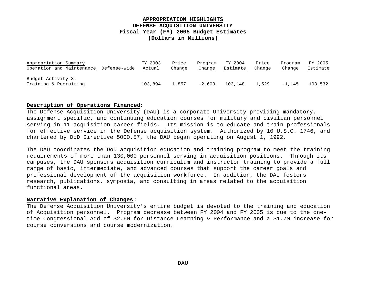## **APPROPRIATION HIGHLIGHTS DEFENSE ACQUISITION UNIVERSITY Fiscal Year (FY) 2005 Budget Estimates (Dollars in Millions)**

| Appropriation Summary                   | FY 2003 | Price  | Program  | FY 2004  | Price  | Program | FY 2005  |
|-----------------------------------------|---------|--------|----------|----------|--------|---------|----------|
| Operation and Maintenance, Defense-Wide | Actual  | Change | Change   | Estimate | Change | Change  | Estimate |
|                                         |         |        |          |          |        |         |          |
| Budget Activity 3:                      |         |        |          |          |        |         |          |
| Training & Recruiting                   | 103,894 | 1,857  | $-2.603$ | 103,148  | 1,529  | -1,145  | 103,532  |

#### **Description of Operations Financed:**

The Defense Acquisition University (DAU) is a corporate University providing mandatory, assignment specific, and continuing education courses for military and civilian personnel serving in 11 acquisition career fields. Its mission is to educate and train professionals for effective service in the Defense acquisition system. Authorized by 10 U.S.C. 1746, and chartered by DoD Directive 5000.57, the DAU began operating on August 1, 1992.

The DAU coordinates the DoD acquisition education and training program to meet the training requirements of more than 130,000 personnel serving in acquisition positions. Through its campuses, the DAU sponsors acquisition curriculum and instructor training to provide a full range of basic, intermediate, and advanced courses that support the career goals and professional development of the acquisition workforce. In addition, the DAU fosters research, publications, symposia, and consulting in areas related to the acquisition functional areas.

#### **Narrative Explanation of Changes:**

The Defense Acquisition University's entire budget is devoted to the training and education of Acquisition personnel. Program decrease between FY 2004 and FY 2005 is due to the onetime Congressional Add of \$2.6M for Distance Learning & Performance and a \$1.7M increase for course conversions and course modernization.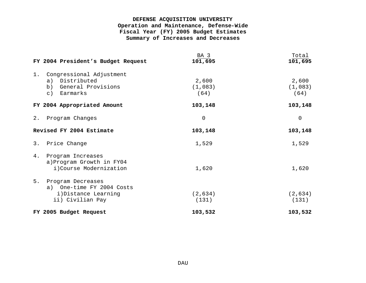# **DEFENSE ACQUISITION UNIVERSITY Operation and Maintenance, Defense-Wide Fiscal Year (FY) 2005 Budget Estimates Summary of Increases and Decreases**

|    | FY 2004 President's Budget Request                                                        | BA 3<br>101,695          | Total<br>101,695         |
|----|-------------------------------------------------------------------------------------------|--------------------------|--------------------------|
| 1. | Congressional Adjustment<br>a) Distributed<br>b) General Provisions<br>c) Earmarks        | 2,600<br>(1,083)<br>(64) | 2,600<br>(1,083)<br>(64) |
|    | FY 2004 Appropriated Amount                                                               | 103,148                  | 103,148                  |
|    | 2. Program Changes                                                                        | $\Omega$                 | $\overline{0}$           |
|    | Revised FY 2004 Estimate                                                                  | 103,148                  | 103,148                  |
|    | 3. Price Change                                                                           | 1,529                    | 1,529                    |
| 4. | Program Increases<br>a) Program Growth in FY04<br>i)Course Modernization                  | 1,620                    | 1,620                    |
| 5. | Program Decreases<br>a) One-time FY 2004 Costs<br>i)Distance Learning<br>ii) Civilian Pay | (2,634)<br>(131)         | (2,634)<br>(131)         |
|    | FY 2005 Budget Request                                                                    | 103,532                  | 103,532                  |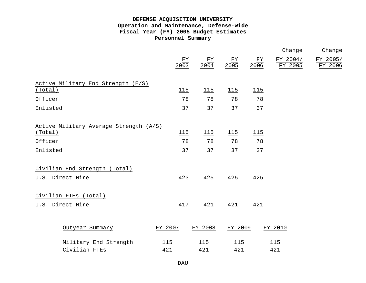# **DEFENSE ACQUISITION UNIVERSITY Operation and Maintenance, Defense-Wide Fiscal Year (FY) 2005 Budget Estimates Personnel Summary**

|                                        |                          |                          |                               |                          | Change              | Change              |
|----------------------------------------|--------------------------|--------------------------|-------------------------------|--------------------------|---------------------|---------------------|
|                                        | $\underline{FY}$<br>2003 | $\frac{\text{FY}}{2004}$ | $\frac{\underline{FY}}{2005}$ | $\underline{FY}$<br>2006 | FY 2004/<br>FY 2005 | FY 2005/<br>FY 2006 |
| Active Military End Strength (E/S)     |                          |                          |                               |                          |                     |                     |
| (Total)                                | 115                      | 115                      | 115                           | 115                      |                     |                     |
| Officer                                | 78                       | 78                       | 78                            | 78                       |                     |                     |
| Enlisted                               | 37                       | 37                       | 37                            | 37                       |                     |                     |
| Active Military Average Strength (A/S) |                          |                          |                               |                          |                     |                     |
| (Total)                                | 115                      | 115                      | 115                           | 115                      |                     |                     |
| Officer                                | 78                       | 78                       | 78                            | 78                       |                     |                     |
| Enlisted                               | 37                       | 37                       | 37                            | 37                       |                     |                     |
| Civilian End Strength (Total)          |                          |                          |                               |                          |                     |                     |
| U.S. Direct Hire                       | 423                      | 425                      | 425                           | 425                      |                     |                     |
| Civilian FTEs (Total)                  |                          |                          |                               |                          |                     |                     |
| U.S. Direct Hire                       | 417                      | 421                      | 421                           | 421                      |                     |                     |
|                                        |                          |                          |                               |                          |                     |                     |
| Outyear Summary                        | FY 2007                  | FY 2008                  | FY 2009                       |                          | FY 2010             |                     |
| Military End Strength                  | 115                      | 115                      | 115                           |                          | 115                 |                     |
| Civilian FTEs                          | 421                      | 421                      | 421                           |                          | 421                 |                     |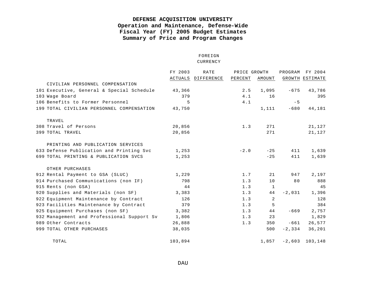# **DEFENSE ACQUISITION UNIVERSITY Operation and Maintenance, Defense-Wide Fiscal Year (FY) 2005 Budget Estimates Summary of Price and Program Changes**

#### FOREIGN CURRENCY

|                                            | FY 2003 | RATE               | PRICE GROWTH |        | PROGRAM   | FY 2004         |
|--------------------------------------------|---------|--------------------|--------------|--------|-----------|-----------------|
|                                            |         | ACTUALS DIFFERENCE | PERCENT      | AMOUNT |           | GROWTH ESTIMATE |
| CIVILIAN PERSONNEL COMPENSATION            |         |                    |              |        |           |                 |
| 101 Executive, General & Special Schedule  | 43,366  |                    | 2.5          | 1,095  | $-675$    | 43,786          |
| 103 Wage Board                             | 379     |                    | 4.1          | 16     |           | 395             |
| 106 Benefits to Former Personnel           | 5       |                    | 4.1          |        | $-5$      |                 |
| 199 TOTAL CIVILIAN PERSONNEL COMPENSATION  | 43,750  |                    |              | 1,111  | $-680$    | 44,181          |
| TRAVEL                                     |         |                    |              |        |           |                 |
| 308 Travel of Persons                      | 20,856  |                    | 1.3          | 271    |           | 21,127          |
| 399 TOTAL TRAVEL                           | 20,856  |                    |              | 271    |           | 21,127          |
| PRINTING AND PUBLICATION SERVICES          |         |                    |              |        |           |                 |
| 633 Defense Publication and Printing Svc   | 1,253   |                    | $-2.0$       | $-25$  | 411       | 1,639           |
| 699 TOTAL PRINTING & PUBLICATION SVCS      | 1,253   |                    |              | $-25$  | 411       | 1,639           |
| OTHER PURCHASES                            |         |                    |              |        |           |                 |
| 912 Rental Payment to GSA (SLUC)           | 1,229   |                    | 1.7          | 21     | 947       | 2,197           |
| 914 Purchased Communications (non IF)      | 798     |                    | 1.3          | 10     | 80        | 888             |
| 915 Rents (non GSA)                        | 44      |                    | 1.3          | 1      |           | 45              |
| 920 Supplies and Materials (non SF)        | 3,383   |                    | 1.3          | 44     | $-2,031$  | 1,396           |
| 922 Equipment Maintenance by Contract      | 126     |                    | 1.3          | 2      |           | 128             |
| 923 Facilities Maintenance by Contract     | 379     |                    | 1.3          | 5      |           | 384             |
| 925 Equipment Purchases (non SF)           | 3,382   |                    | 1.3          | 44     | $-669$    | 2,757           |
| 932 Management and Professional Support Sv | 1,806   |                    | 1.3          | 23     |           | 1,829           |
| 989 Other Contracts                        | 26,888  |                    | 1.3          | 350    | $-661$    | 26,577          |
| 999 TOTAL OTHER PURCHASES                  | 38,035  |                    |              | 500    | $-2, 334$ | 36,201          |
| TOTAL                                      | 103,894 |                    |              | 1,857  | $-2,603$  | 103,148         |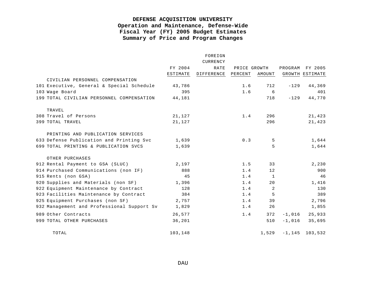# **DEFENSE ACQUISITION UNIVERSITY Operation and Maintenance, Defense-Wide Fiscal Year (FY) 2005 Budget Estimates Summary of Price and Program Changes**

|                           |                                            |          | FOREIGN    |              |        |          |                   |
|---------------------------|--------------------------------------------|----------|------------|--------------|--------|----------|-------------------|
|                           |                                            |          | CURRENCY   |              |        |          |                   |
|                           |                                            | FY 2004  | RATE       | PRICE GROWTH |        | PROGRAM  | FY 2005           |
|                           |                                            | ESTIMATE | DIFFERENCE | PERCENT      | AMOUNT |          | GROWTH ESTIMATE   |
|                           | CIVILIAN PERSONNEL COMPENSATION            |          |            |              |        |          |                   |
|                           | 101 Executive, General & Special Schedule  | 43,786   |            | 1.6          | 712    | $-129$   | 44,369            |
| 103 Wage Board            |                                            | 395      |            | 1.6          | 6      |          | 401               |
|                           | 199 TOTAL CIVILIAN PERSONNEL COMPENSATION  | 44,181   |            |              | 718    | $-129$   | 44,770            |
| TRAVEL                    |                                            |          |            |              |        |          |                   |
| 308 Travel of Persons     |                                            | 21,127   |            | 1.4          | 296    |          | 21,423            |
| 399 TOTAL TRAVEL          |                                            | 21,127   |            |              | 296    |          | 21,423            |
|                           | PRINTING AND PUBLICATION SERVICES          |          |            |              |        |          |                   |
|                           | 633 Defense Publication and Printing Svc   | 1,639    |            | 0.3          | 5      |          | 1,644             |
|                           | 699 TOTAL PRINTING & PUBLICATION SVCS      | 1,639    |            |              | 5      |          | 1,644             |
| OTHER PURCHASES           |                                            |          |            |              |        |          |                   |
|                           | 912 Rental Payment to GSA (SLUC)           | 2,197    |            | 1.5          | 33     |          | 2,230             |
|                           | 914 Purchased Communications (non IF)      | 888      |            | 1.4          | 12     |          | 900               |
| 915 Rents (non GSA)       |                                            | 45       |            | 1.4          | 1      |          | 46                |
|                           | 920 Supplies and Materials (non SF)        | 1,396    |            | 1.4          | 20     |          | 1,416             |
|                           | 922 Equipment Maintenance by Contract      | 128      |            | 1.4          | 2      |          | 130               |
|                           | 923 Facilities Maintenance by Contract     | 384      |            | 1.4          | 5      |          | 389               |
|                           | 925 Equipment Purchases (non SF)           | 2,757    |            | 1.4          | 39     |          | 2,796             |
|                           | 932 Management and Professional Support Sv | 1,829    |            | 1.4          | 26     |          | 1,855             |
| 989 Other Contracts       |                                            | 26,577   |            | 1.4          | 372    | $-1,016$ | 25,933            |
| 999 TOTAL OTHER PURCHASES |                                            | 36,201   |            |              | 510    | $-1,016$ | 35,695            |
| TOTAL                     |                                            | 103,148  |            |              | 1,529  |          | $-1, 145$ 103,532 |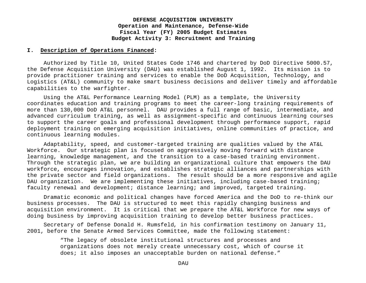#### **I. Description of Operations Financed:**

Authorized by Title 10, United States Code 1746 and chartered by DoD Directive 5000.57, the Defense Acquisition University (DAU) was established August 1, 1992. Its mission is to provide practitioner training and services to enable the DoD Acquisition, Technology, and Logistics (AT&L) community to make smart business decisions and deliver timely and affordable capabilities to the warfighter.

Using the AT&L Performance Learning Model (PLM) as a template, the University coordinates education and training programs to meet the career-long training requirements of more than 130,000 DoD AT&L personnel. DAU provides a full range of basic, intermediate, and advanced curriculum training, as well as assignment-specific and continuous learning courses to support the career goals and professional development through performance support, rapid deployment training on emerging acquisition initiatives, online communities of practice, and continuous learning modules.

Adaptability, speed, and customer-targeted training are qualities valued by the AT&L Workforce. Our strategic plan is focused on aggressively moving forward with distance learning, knowledge management, and the transition to a case-based training environment. Through the strategic plan, we are building an organizational culture that empowers the DAU workforce, encourages innovation, and establishes strategic alliances and partnerships with the private sector and field organizations. The result should be a more responsive and agile DAU organization. We are implementing these initiatives, including case-based training; faculty renewal and development; distance learning; and improved, targeted training.

Dramatic economic and political changes have forced America and the DoD to re-think our business processes. The DAU is structured to meet this rapidly changing business and acquisition environment. It is critical that we prepare the AT&L Workforce for new ways of doing business by improving acquisition training to develop better business practices.

Secretary of Defense Donald H. Rumsfeld, in his confirmation testimony on January 11, 2001, before the Senate Armed Services Committee, made the following statement:

> "The legacy of obsolete institutional structures and processes and organizations does not merely create unnecessary cost, which of course it does; it also imposes an unacceptable burden on national defense."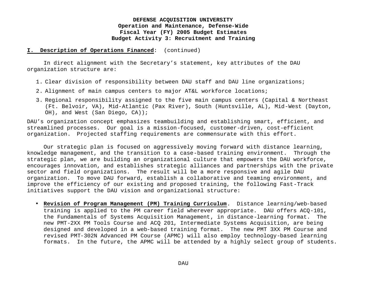#### **I. Description of Operations Financed**: (continued)

In direct alignment with the Secretary's statement, key attributes of the DAU organization structure are:

- 1. Clear division of responsibility between DAU staff and DAU line organizations;
- 2. Alignment of main campus centers to major AT&L workforce locations;
- 3. Regional responsibility assigned to the five main campus centers (Capital & Northeast (Ft. Belvoir, VA), Mid-Atlantic (Pax River), South (Huntsville, AL), Mid-West (Dayton, OH), and West (San Diego, CA));

DAU's organization concept emphasizes teambuilding and establishing smart, efficient, and streamlined processes. Our goal is a mission-focused, customer-driven, cost-efficient organization. Projected staffing requirements are commensurate with this effort.

Our strategic plan is focused on aggressively moving forward with distance learning, knowledge management, and the transition to a case-based training environment. Through the strategic plan, we are building an organizational culture that empowers the DAU workforce, encourages innovation, and establishes strategic alliances and partnerships with the private sector and field organizations. The result will be a more responsive and agile DAU organization. To move DAU forward, establish a collaborative and teaming environment, and improve the efficiency of our existing and proposed training, the following Fast-Track initiatives support the DAU vision and organizational structure:

• **Revision of Program Management (PM) Training Curriculum**. Distance learning/web-based training is applied to the PM career field wherever appropriate. DAU offers ACQ-101, the Fundamentals of Systems Acquisition Management, in distance-learning format. The new PMT-2XX PM Tools Course and ACQ 201, Intermediate Systems Acquisition, are being designed and developed in a web-based training format. The new PMT 3XX PM Course and revised PMT-302N Advanced PM Course (APMC) will also employ technology-based learning formats. In the future, the APMC will be attended by a highly select group of students.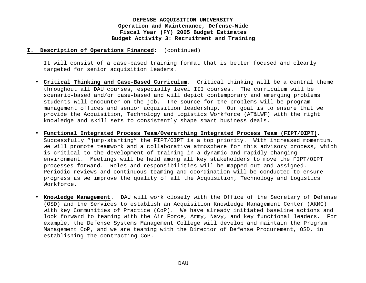#### **I. Description of Operations Financed**: (continued)

It will consist of a case-based training format that is better focused and clearly targeted for senior acquisition leaders.

- **Critical Thinking and Case-Based Curriculum**. Critical thinking will be a central theme throughout all DAU courses, especially level III courses. The curriculum will be scenario-based and/or case-based and will depict contemporary and emerging problems students will encounter on the job. The source for the problems will be program management offices and senior acquisition leadership. Our goal is to ensure that we provide the Acquisition, Technology and Logistics Workforce (AT&LWF) with the right knowledge and skill sets to consistently shape smart business deals.
- **Functional Integrated Process Team/Overarching Integrated Process Team (FIPT/OIPT).** Successfully "jump-starting" the FIPT/OIPT is a top priority. With increased momentum, we will promote teamwork and a collaborative atmosphere for this advisory process, which is critical to the development of training in a dynamic and rapidly changing environment. Meetings will be held among all key stakeholders to move the FIPT/OIPT processes forward. Roles and responsibilities will be mapped out and assigned. Periodic reviews and continuous teaming and coordination will be conducted to ensure progress as we improve the quality of all the Acquisition, Technology and Logistics Workforce.
- **Knowledge Management**. DAU will work closely with the Office of the Secretary of Defense (OSD) and the Services to establish an Acquisition Knowledge Management Center (AKMC) with key Communities of Practice (CoP). We have already initiated baseline actions and look forward to teaming with the Air Force, Army, Navy, and key functional leaders. For example, the Defense Systems Management College will develop and maintain the Program Management CoP, and we are teaming with the Director of Defense Procurement, OSD, in establishing the contracting CoP.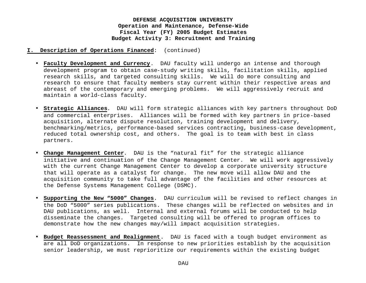- **I. Description of Operations Financed**: (continued)
	- **Faculty Development and Currency**. DAU faculty will undergo an intense and thorough development program to obtain case-study writing skills, facilitation skills, applied research skills, and targeted consulting skills. We will do more consulting and research to ensure that faculty members stay current within their respective areas and abreast of the contemporary and emerging problems. We will aggressively recruit and maintain a world-class faculty.
	- **Strategic Alliances**. DAU will form strategic alliances with key partners throughout DoD and commercial enterprises. Alliances will be formed with key partners in price-based acquisition, alternate dispute resolution, training development and delivery, benchmarking/metrics, performance-based services contracting, business-case development, reduced total ownership cost, and others. The goal is to team with best in class partners.
	- **Change Management Center**. DAU is the "natural fit" for the strategic alliance initiative and continuation of the Change Management Center. We will work aggressively with the current Change Management Center to develop a corporate university structure that will operate as a catalyst for change. The new move will allow DAU and the acquisition community to take full advantage of the facilities and other resources at the Defense Systems Management College (DSMC).
	- **Supporting the New "5000" Changes**. DAU curriculum will be revised to reflect changes in the DoD "5000" series publications. These changes will be reflected on websites and in DAU publications, as well. Internal and external forums will be conducted to help disseminate the changes. Targeted consulting will be offered to program offices to demonstrate how the new changes may/will impact acquisition strategies.
	- **Budget Reassessment and Realignment**. DAU is faced with a tough budget environment as are all DoD organizations. In response to new priorities establish by the acquisition senior leadership, we must reprioritize our requirements within the existing budget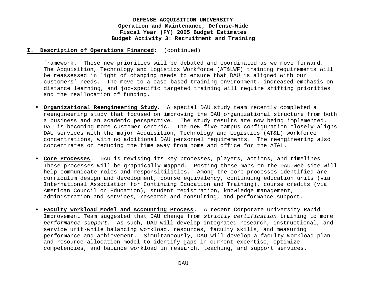#### **I. Description of Operations Financed**: (continued)

framework. These new priorities will be debated and coordinated as we move forward. The Acquisition, Technology and Logistics Workforce (AT&LWF) training requirements will be reassessed in light of changing needs to ensure that DAU is aligned with our customers' needs. The move to a case-based training environment, increased emphasis on distance learning, and job-specific targeted training will require shifting priorities and the reallocation of funding.

- **Organizational Reengineering Study**. A special DAU study team recently completed a reengineering study that focused on improving the DAU organizational structure from both a business and an academic perspective. The study results are now being implemented. DAU is becoming more customer-centric. The new five campus configuration closely aligns DAU services with the major Acquisition, Technology and Logistics (AT&L) workforce concentrations, with no additional DAU personnel requirements. The reengineering also concentrates on reducing the time away from home and office for the AT&L.
- **Core Processes**. DAU is revising its key processes, players, actions, and timelines. These processes will be graphically mapped. Posting these maps on the DAU web site will help communicate roles and responsibilities. Among the core processes identified are curriculum design and development, course equivalency, continuing education units (via International Association for Continuing Education and Training), course credits (via American Council on Education), student registration, knowledge management, administration and services, research and consulting, and performance support.
- **Faculty Workload Model and Accounting Process**. A recent Corporate University Rapid Improvement Team suggested that DAU change from *strictly certification* training to more *performance support*. As such, DAU will develop integrated research, instructional, and service unit-while balancing workload, resources, faculty skills, and measuring performance and achievement. Simultaneously, DAU will develop a faculty workload plan and resource allocation model to identify gaps in current expertise, optimize competencies, and balance workload in research, teaching, and support services.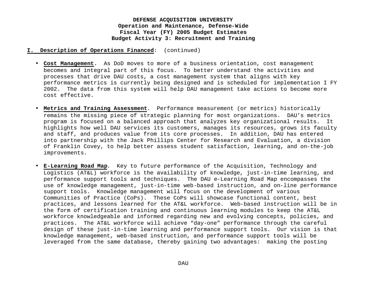- **I. Description of Operations Financed**: (continued)
	- **Cost Management**. As DoD moves to more of a business orientation, cost management becomes and integral part of this focus. To better understand the activities and processes that drive DAU costs, a cost management system that aligns with key performance metrics is currently being designed and is scheduled for implementation I FY 2002. The data from this system will help DAU management take actions to become more cost effective.
	- **Metrics and Training Assessment**. Performance measurement (or metrics) historically remains the missing piece of strategic planning for most organizations. DAU's metrics program is focused on a balanced approach that analyzes key organizational results. It highlights how well DAU services its customers, manages its resources, grows its faculty and staff, and produces value from its core processes. In addition, DAU has entered into partnership with the Jack Phillips Center for Research and Evaluation, a division of Franklin Covey, to help better assess student satisfaction, learning, and on-the-job improvements.
	- **E-Learning Road Map**. Key to future performance of the Acquisition, Technology and Logistics (AT&L) workforce is the availability of knowledge, just-in-time learning, and performance support tools and techniques. The DAU e-Learning Road Map encompasses the use of knowledge management, just-in-time web-based instruction, and on-line performance support tools. Knowledge management will focus on the development of various Communities of Practice (CoPs). These CoPs will showcase functional content, best practices, and lessons learned for the AT&L workforce. Web-based instruction will be in the form of certification training and continuous learning modules to keep the AT&L workforce knowledgeable and informed regarding new and evolving concepts, policies, and practices. The AT&L workforce will achieve "day-one" performance through the careful design of these just-in-time learning and performance support tools. Our vision is that knowledge management, web-based instruction, and performance support tools will be leveraged from the same database, thereby gaining two advantages: making the posting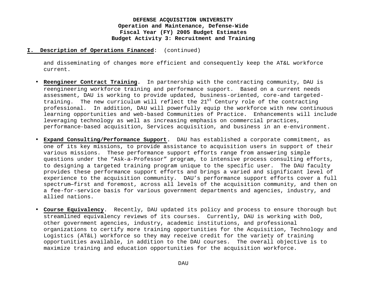#### **I. Description of Operations Financed**: (continued)

and disseminating of changes more efficient and consequently keep the AT&L workforce current.

- **Reengineer Contract Training**. In partnership with the contracting community, DAU is reengineering workforce training and performance support. Based on a current needs assessment, DAU is working to provide updated, business-oriented, core-and targetedtraining. The new curriculum will reflect the 21<sup>st</sup> Century role of the contracting professional. In addition, DAU will powerfully equip the workforce with new continuous learning opportunities and web-based Communities of Practice. Enhancements will include leveraging technology as well as increasing emphasis on commercial practices, performance-based acquisition, Services acquisition, and business in an e-environment.
- **Expand Consulting/Performance Support**. DAU has established a corporate commitment, as one of its key missions, to provide assistance to acquisition users in support of their various missions. These performance support efforts range from answering simple questions under the "Ask-a-Professor" program, to intensive process consulting efforts, to designing a targeted training program unique to the specific user. The DAU faculty provides these performance support efforts and brings a varied and significant level of experience to the acquisition community. DAU's performance support efforts cover a full spectrum—first and foremost, across all levels of the acquisition community, and then on a fee-for-service basis for various government departments and agencies, industry, and allied nations.
- **Course Equivalency**. Recently, DAU updated its policy and process to ensure thorough but streamlined equivalency reviews of its courses. Currently, DAU is working with DoD, other government agencies, industry, academic institutions, and professional organizations to certify more training opportunities for the Acquisition, Technology and Logistics (AT&L) workforce so they may receive credit for the variety of training opportunities available, in addition to the DAU courses. The overall objective is to maximize training and education opportunities for the acquisition workforce.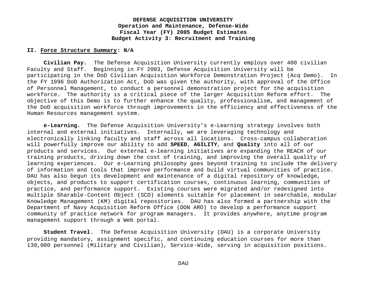#### **II. Force Structure Summary: N/A**

**Civilian Pay.** The Defense Acquisition University currently employs over 400 civilian Faculty and Staff. Beginning in FY 2003, Defense Acquisition University will be participating in the DoD Civilian Acquisition Workforce Demonstration Project (Acq Demo). In the FY 1996 DoD Authorization Act, DoD was given the authority, with approval of the Office of Personnel Management, to conduct a personnel demonstration project for the acquisition workforce. The authority is a critical piece of the larger Acquisition Reform effort. The objective of this Demo is to further enhance the quality, professionalism, and management of the DoD acquisition workforce through improvements in the efficiency and effectiveness of the Human Resources management system.

**e-Learning.** The Defense Acquisition University's e-Learning strategy involves both internal and external initiatives. Internally, we are leveraging technology and electronically linking faculty and staff across all locations. Cross-campus collaboration will powerfully improve our ability to add **SPEED**, **AGILITY**, and **Quality** into all of our products and services. Our external e-learning initiatives are expanding the REACH of our training products, driving down the cost of training, and improving the overall quality of learning experiences. Our e-Learning philosophy goes beyond training to include the delivery of information and tools that improve performance and build virtual communities of practice. DAU has also begun its development and maintenance of a digital repository of knowledge, objects, and products to support certification courses, continuous learning, communities of practice, and performance support. Existing courses were migrated and/or redesigned into multiple Sharable-Content Object (SCO) elements suitable for placement in searchable, modular Knowledge Management (KM) digital repositories. DAU has also formed a partnership with the Department of Navy Acquisition Reform Office (DON ARO) to develop a performance support community of practice network for program managers. It provides anywhere, anytime program management support through a Web portal.

**Student Travel**. The Defense Acquisition University (DAU) is a corporate University providing mandatory, assignment specific, and continuing education courses for more than 130,000 personnel (Military and Civilian), Service-Wide, serving in acquisition positions.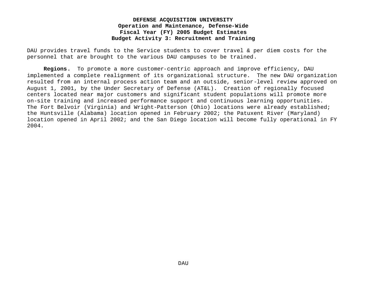DAU provides travel funds to the Service students to cover travel & per diem costs for the personnel that are brought to the various DAU campuses to be trained.

**Regions.** To promote a more customer-centric approach and improve efficiency, DAU implemented a complete realignment of its organizational structure. The new DAU organization resulted from an internal process action team and an outside, senior-level review approved on August 1, 2001, by the Under Secretary of Defense (AT&L). Creation of regionally focused centers located near major customers and significant student populations will promote more on-site training and increased performance support and continuous learning opportunities. The Fort Belvoir (Virginia) and Wright-Patterson (Ohio) locations were already established; the Huntsville (Alabama) location opened in February 2002; the Patuxent River (Maryland) location opened in April 2002; and the San Diego location will become fully operational in FY 2004.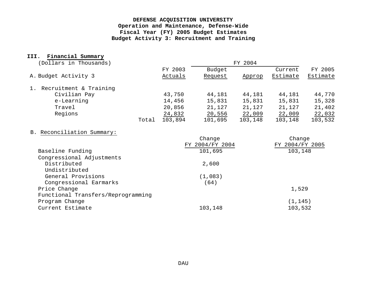## **III. Financial Summary**

| (Dollars in Thousands)       |       | FY 2004            |                   |         |                     |                     |  |
|------------------------------|-------|--------------------|-------------------|---------|---------------------|---------------------|--|
| A. Budget Activity 3         |       | FY 2003<br>Actuals | Budget<br>Request | Approp  | Current<br>Estimate | FY 2005<br>Estimate |  |
| Recruitment & Training<br>1. |       |                    |                   |         |                     |                     |  |
| Civilian Pay                 |       | 43,750             | 44,181            | 44,181  | 44,181              | 44,770              |  |
| e-Learning                   |       | 14,456             | 15,831            | 15,831  | 15,831              | 15,328              |  |
| Travel                       |       | 20,856             | 21,127            | 21,127  | 21,127              | 21,402              |  |
| Regions                      |       | 24,832             | 20,556            | 22,009  | 22,009              | 22,032              |  |
|                              | Total | 103,894            | 101,695           | 103,148 | 103,148             | 103,532             |  |

# B. Reconciliation Summary:

| Change          | Change          |
|-----------------|-----------------|
| FY 2004/FY 2004 | FY 2004/FY 2005 |
| 101,695         | 103,148         |
|                 |                 |
| 2,600           |                 |
|                 |                 |
| (1,083)         |                 |
| (64)            |                 |
|                 | 1,529           |
|                 |                 |
|                 | (1, 145)        |
| 103,148         | 103,532         |
|                 |                 |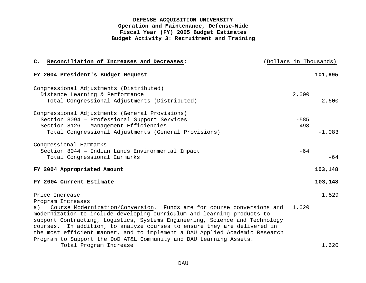| C. Reconciliation of Increases and Decreases:                                                                                                     | (Dollars in Thousands) |          |
|---------------------------------------------------------------------------------------------------------------------------------------------------|------------------------|----------|
| FY 2004 President's Budget Request                                                                                                                |                        | 101,695  |
| Congressional Adjustments (Distributed)                                                                                                           |                        |          |
| Distance Learning & Performance                                                                                                                   | 2,600                  |          |
| Total Congressional Adjustments (Distributed)                                                                                                     |                        | 2,600    |
| Congressional Adjustments (General Provisions)                                                                                                    |                        |          |
| Section 8094 - Professional Support Services                                                                                                      | $-585$                 |          |
| Section 8126 - Management Efficiencies                                                                                                            | $-498$                 |          |
| Total Congressional Adjustments (General Provisions)                                                                                              |                        | $-1,083$ |
| Congressional Earmarks                                                                                                                            |                        |          |
| Section 8044 - Indian Lands Environmental Impact                                                                                                  | $-64$                  |          |
| Total Congressional Earmarks                                                                                                                      |                        | $-64$    |
| FY 2004 Appropriated Amount                                                                                                                       |                        | 103,148  |
| FY 2004 Current Estimate                                                                                                                          |                        | 103,148  |
| Price Increase                                                                                                                                    |                        | 1,529    |
| Program Increases                                                                                                                                 |                        |          |
| Course Modernization/Conversion. Funds are for course conversions and<br>a)                                                                       | 1,620                  |          |
| modernization to include developing curriculum and learning products to                                                                           |                        |          |
| support Contracting, Logistics, Systems Engineering, Science and Technology                                                                       |                        |          |
| courses. In addition, to analyze courses to ensure they are delivered in                                                                          |                        |          |
| the most efficient manner, and to implement a DAU Applied Academic Research<br>Program to Support the DoD AT&L Community and DAU Learning Assets. |                        |          |
| Total Program Increase                                                                                                                            |                        | 1,620    |
|                                                                                                                                                   |                        |          |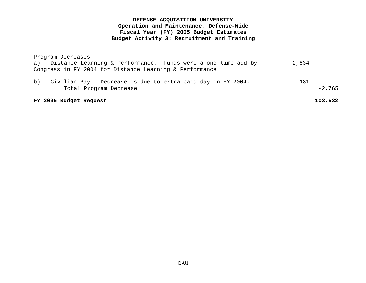Program Decreases

|         | a) Distance Learning & Performance. Funds were a one-time add by | -2,634   |
|---------|------------------------------------------------------------------|----------|
|         | Congress in FY 2004 for Distance Learning & Performance          |          |
| $\circ$ | Civilian Pay. Decrease is due to extra paid day in FY 2004.      | -131     |
|         | Total Program Decrease                                           | $-2,765$ |

#### **FY 2005 Budget Request 103,532**

DAU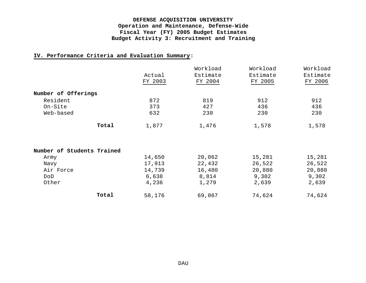## **IV. Performance Criteria and Evaluation Summary:**

|                            | Actual<br>FY 2003 | Workload<br>Estimate<br>FY 2004 | Workload<br>Estimate<br>FY 2005 | Workload<br>Estimate<br>FY 2006 |
|----------------------------|-------------------|---------------------------------|---------------------------------|---------------------------------|
| Number of Offerings        |                   |                                 |                                 |                                 |
| Resident                   | 872               | 819                             | 912                             | 912                             |
| On-Site                    | 373               | 427                             | 436                             | 436                             |
| Web-based                  | 632               | 230                             | 230                             | 230                             |
| Total                      | 1,877             | 1,476                           | 1,578                           | 1,578                           |
| Number of Students Trained |                   |                                 |                                 |                                 |
| Army                       | 14,650            | 20,062                          | 15,281                          | 15,281                          |
| Navy                       | 17,913            | 22,432                          | 26,522                          | 26,522                          |
| Air Force                  | 14,739            | 16,480                          | 20,880                          | 20,880                          |
| DoD                        | 6,638             | 8,814                           | 9,302                           | 9,302                           |
| Other                      | 4,236             | 1,279                           | 2,639                           | 2,639                           |
| Total                      | 58,176            | 69,067                          | 74,624                          | 74,624                          |